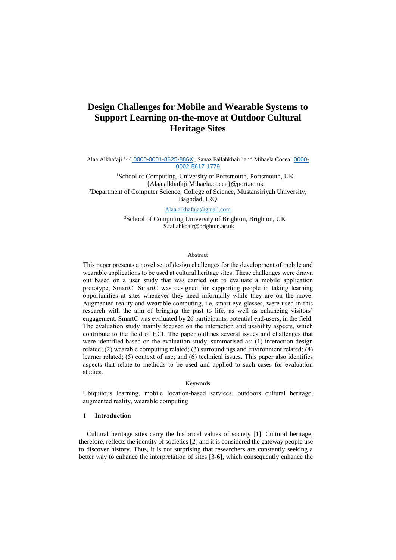# **Design Challenges for Mobile and Wearable Systems to Support Learning on-the-move at Outdoor Cultural Heritage Sites**

Alaa Alkhafaji <sup>1,2,\*</sup> [0000-0001-8625-886X](https://orcid.org/0000-0001-8625-886X), Sanaz Fallahkhair<sup>3</sup> and Mihaela Cocea<sup>1</sup> [0000-](https://orcid.org/0000-0002-5617-1779) [0002-5617-1779](https://orcid.org/0000-0002-5617-1779)

<sup>1</sup>School of Computing, University of Portsmouth, Portsmouth, UK {Alaa.alkhafaji;Mihaela.cocea}@port.ac.uk <sup>2</sup>Department of Computer Science, College of Science, Mustansiriyah University, Baghdad, IRQ

#### [Alaa.alkhafaja@gmail.com](mailto:Alaa.alkhafaja@gmail.com)

<sup>3</sup>School of Computing University of Brighton, Brighton, UK S.fallahkhair@brighton.ac.uk

## Abstract

This paper presents a novel set of design challenges for the development of mobile and wearable applications to be used at cultural heritage sites. These challenges were drawn out based on a user study that was carried out to evaluate a mobile application prototype, SmartC. SmartC was designed for supporting people in taking learning opportunities at sites whenever they need informally while they are on the move. Augmented reality and wearable computing, i.e. smart eye glasses, were used in this research with the aim of bringing the past to life, as well as enhancing visitors' engagement. SmartC was evaluated by 26 participants, potential end-users, in the field. The evaluation study mainly focused on the interaction and usability aspects, which contribute to the field of HCI. The paper outlines several issues and challenges that were identified based on the evaluation study, summarised as: (1) interaction design related; (2) wearable computing related; (3) surroundings and environment related; (4) learner related; (5) context of use; and (6) technical issues. This paper also identifies aspects that relate to methods to be used and applied to such cases for evaluation studies.

#### Keywords

Ubiquitous learning, mobile location-based services, outdoors cultural heritage, augmented reality, wearable computing

## **1 Introduction**

Cultural heritage sites carry the historical values of society [\[1\]](#page-17-0). Cultural heritage, therefore, reflects the identity of societies [\[2\]](#page-17-1) and it is considered the gateway people use to discover history. Thus, it is not surprising that researchers are constantly seeking a better way to enhance the interpretation of sites [\[3-6\]](#page-17-2), which consequently enhance the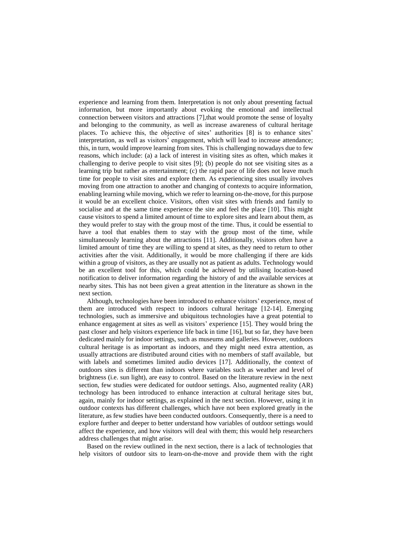experience and learning from them. Interpretation is not only about presenting factual information, but more importantly about evoking the emotional and intellectual connection between visitors and attractions [\[7\]](#page-17-3),that would promote the sense of loyalty and belonging to the community, as well as increase awareness of cultural heritage places. To achieve this, the objective of sites' authorities [\[8\]](#page-18-0) is to enhance sites' interpretation, as well as visitors' engagement, which will lead to increase attendance; this, in turn, would improve learning from sites. This is challenging nowadays due to few reasons, which include: (a) a lack of interest in visiting sites as often, which makes it challenging to derive people to visit sites [\[9\]](#page-18-1); (b) people do not see visiting sites as a learning trip but rather as entertainment; (c) the rapid pace of life does not leave much time for people to visit sites and explore them. As experiencing sites usually involves moving from one attraction to another and changing of contexts to acquire information, enabling learning while moving, which we refer to learning on-the-move, for this purpose it would be an excellent choice. Visitors, often visit sites with friends and family to socialise and at the same time experience the site and feel the place [\[10\]](#page-18-2). This might cause visitors to spend a limited amount of time to explore sites and learn about them, as they would prefer to stay with the group most of the time. Thus, it could be essential to have a tool that enables them to stay with the group most of the time, while simultaneously learning about the attractions [\[11\]](#page-18-3). Additionally, visitors often have a limited amount of time they are willing to spend at sites, as they need to return to other activities after the visit. Additionally, it would be more challenging if there are kids within a group of visitors, as they are usually not as patient as adults. Technology would be an excellent tool for this, which could be achieved by utilising location-based notification to deliver information regarding the history of and the available services at nearby sites. This has not been given a great attention in the literature as shown in the next section.

Although, technologies have been introduced to enhance visitors' experience, most of them are introduced with respect to indoors cultural heritage [\[12-14\]](#page-18-4). Emerging technologies, such as immersive and ubiquitous technologies have a great potential to enhance engagement at sites as well as visitors' experience [\[15\]](#page-18-5). They would bring the past closer and help visitors experience life back in time [\[16\]](#page-18-6), but so far, they have been dedicated mainly for indoor settings, such as museums and galleries. However, outdoors cultural heritage is as important as indoors, and they might need extra attention, as usually attractions are distributed around cities with no members of staff available, but with labels and sometimes limited audio devices [\[17\]](#page-18-7). Additionally, the context of outdoors sites is different than indoors where variables such as weather and level of brightness (i.e. sun light), are easy to control. Based on the literature review in the next section, few studies were dedicated for outdoor settings. Also, augmented reality (AR) technology has been introduced to enhance interaction at cultural heritage sites but, again, mainly for indoor settings, as explained in the next section. However, using it in outdoor contexts has different challenges, which have not been explored greatly in the literature, as few studies have been conducted outdoors. Consequently, there is a need to explore further and deeper to better understand how variables of outdoor settings would affect the experience, and how visitors will deal with them; this would help researchers address challenges that might arise.

Based on the review outlined in the next section, there is a lack of technologies that help visitors of outdoor sits to learn-on-the-move and provide them with the right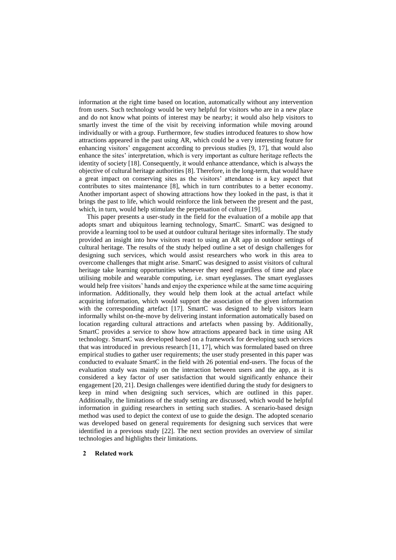information at the right time based on location, automatically without any intervention from users. Such technology would be very helpful for visitors who are in a new place and do not know what points of interest may be nearby; it would also help visitors to smartly invest the time of the visit by receiving information while moving around individually or with a group. Furthermore, few studies introduced features to show how attractions appeared in the past using AR, which could be a very interesting feature for enhancing visitors' engagement according to previous studies [\[9,](#page-18-1) [17\]](#page-18-7), that would also enhance the sites' interpretation, which is very important as culture heritage reflects the identity of society [\[18\]](#page-18-8). Consequently, it would enhance attendance, which is always the objective of cultural heritage authorities [\[8\]](#page-18-0). Therefore, in the long-term, that would have a great impact on conserving sites as the visitors' attendance is a key aspect that contributes to sites maintenance [\[8\]](#page-18-0), which in turn contributes to a better economy. Another important aspect of showing attractions how they looked in the past, is that it brings the past to life, which would reinforce the link between the present and the past, which, in turn, would help stimulate the perpetuation of culture [\[19\]](#page-18-9).

This paper presents a user-study in the field for the evaluation of a mobile app that adopts smart and ubiquitous learning technology, SmartC. SmartC was designed to provide a learning tool to be used at outdoor cultural heritage sites informally. The study provided an insight into how visitors react to using an AR app in outdoor settings of cultural heritage. The results of the study helped outline a set of design challenges for designing such services, which would assist researchers who work in this area to overcome challenges that might arise. SmartC was designed to assist visitors of cultural heritage take learning opportunities whenever they need regardless of time and place utilising mobile and wearable computing, i.e. smart eyeglasses. The smart eyeglasses would help free visitors' hands and enjoy the experience while at the same time acquiring information. Additionally, they would help them look at the actual artefact while acquiring information, which would support the association of the given information with the corresponding artefact [\[17\]](#page-18-7). SmartC was designed to help visitors learn informally whilst on-the-move by delivering instant information automatically based on location regarding cultural attractions and artefacts when passing by. Additionally, SmartC provides a service to show how attractions appeared back in time using AR technology. SmartC was developed based on a framework for developing such services that was introduced in previous research [\[11,](#page-18-3) [17\]](#page-18-7), which was formulated based on three empirical studies to gather user requirements; the user study presented in this paper was conducted to evaluate SmartC in the field with 26 potential end-users. The focus of the evaluation study was mainly on the interaction between users and the app, as it is considered a key factor of user satisfaction that would significantly enhance their engagement [\[20,](#page-18-10) [21\]](#page-18-11). Design challenges were identified during the study for designers to keep in mind when designing such services, which are outlined in this paper. Additionally, the limitations of the study setting are discussed, which would be helpful information in guiding researchers in setting such studies. A scenario-based design method was used to depict the context of use to guide the design. The adopted scenario was developed based on general requirements for designing such services that were identified in a previous study [\[22\]](#page-18-12). The next section provides an overview of similar technologies and highlights their limitations.

## **2 Related work**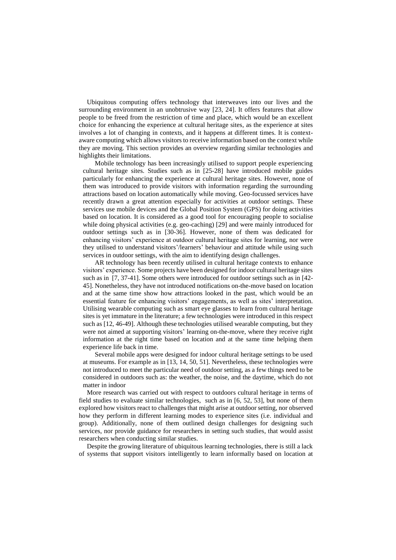Ubiquitous computing offers technology that interweaves into our lives and the surrounding environment in an unobtrusive way [\[23,](#page-18-13) [24\]](#page-18-14). It offers features that allow people to be freed from the restriction of time and place, which would be an excellent choice for enhancing the experience at cultural heritage sites, as the experience at sites involves a lot of changing in contexts, and it happens at different times. It is contextaware computing which allows visitors to receive information based on the context while they are moving. This section provides an overview regarding similar technologies and highlights their limitations.

Mobile technology has been increasingly utilised to support people experiencing cultural heritage sites. Studies such as in [\[25-28\]](#page-18-15) have introduced mobile guides particularly for enhancing the experience at cultural heritage sites. However, none of them was introduced to provide visitors with information regarding the surrounding attractions based on location automatically while moving. Geo-focussed services have recently drawn a great attention especially for activities at outdoor settings. These services use mobile devices and the Global Position System (GPS) for doing activities based on location. It is considered as a good tool for encouraging people to socialise while doing physical activities (e.g. geo-caching) [\[29\]](#page-19-0) and were mainly introduced for outdoor settings such as in [\[30-36\]](#page-19-1). However, none of them was dedicated for enhancing visitors' experience at outdoor cultural heritage sites for learning, nor were they utilised to understand visitors'/learners' behaviour and attitude while using such services in outdoor settings, with the aim to identifying design challenges.

AR technology has been recently utilised in cultural heritage contexts to enhance visitors' experience. Some projects have been designed for indoor cultural heritage sites such as in [\[7,](#page-17-3) [37-41\]](#page-19-2). Some others were introduced for outdoor settings such as in [\[42-](#page-19-3) [45\]](#page-19-3). Nonetheless, they have not introduced notifications on-the-move based on location and at the same time show how attractions looked in the past, which would be an essential feature for enhancing visitors' engagements, as well as sites' interpretation. Utilising wearable computing such as smart eye glasses to learn from cultural heritage sites is yet immature in the literature; a few technologies were introduced in this respect such as [\[12,](#page-18-4) [46-49\]](#page-20-0). Although these technologies utilised wearable computing, but they were not aimed at supporting visitors' learning on-the-move, where they receive right information at the right time based on location and at the same time helping them experience life back in time.

Several mobile apps were designed for indoor cultural heritage settings to be used at museums. For example as in [\[13,](#page-18-16) [14,](#page-18-17) [50,](#page-20-1) [51\]](#page-20-2). Nevertheless, these technologies were not introduced to meet the particular need of outdoor setting, as a few things need to be considered in outdoors such as: the weather, the noise, and the daytime, which do not matter in indoor

More research was carried out with respect to outdoors cultural heritage in terms of field studies to evaluate similar technologies, such as in [\[6,](#page-17-4) [52,](#page-20-3) [53\]](#page-20-4), but none of them explored how visitors react to challenges that might arise at outdoor setting, nor observed how they perform in different learning modes to experience sites (i.e. individual and group). Additionally, none of them outlined design challenges for designing such services, nor provide guidance for researchers in setting such studies, that would assist researchers when conducting similar studies.

Despite the growing literature of ubiquitous learning technologies, there is still a lack of systems that support visitors intelligently to learn informally based on location at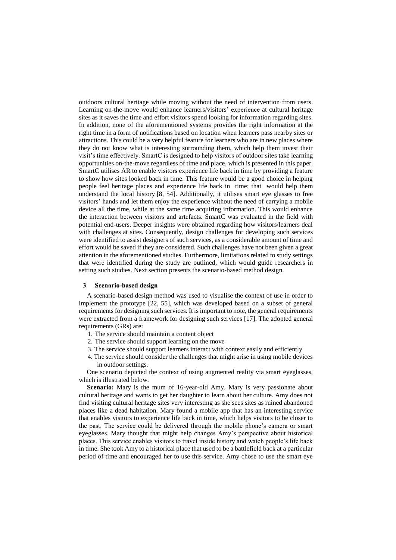outdoors cultural heritage while moving without the need of intervention from users. Learning on-the-move would enhance learners/visitors' experience at cultural heritage sites as it saves the time and effort visitors spend looking for information regarding sites. In addition, none of the aforementioned systems provides the right information at the right time in a form of notifications based on location when learners pass nearby sites or attractions. This could be a very helpful feature for learners who are in new places where they do not know what is interesting surrounding them, which help them invest their visit's time effectively. SmartC is designed to help visitors of outdoor sites take learning opportunities on-the-move regardless of time and place, which is presented in this paper. SmartC utilises AR to enable visitors experience life back in time by providing a feature to show how sites looked back in time. This feature would be a good choice in helping people feel heritage places and experience life back in time; that would help them understand the local history [\[8,](#page-18-0) [54\]](#page-20-5). Additionally, it utilises smart eye glasses to free visitors' hands and let them enjoy the experience without the need of carrying a mobile device all the time, while at the same time acquiring information. This would enhance the interaction between visitors and artefacts. SmartC was evaluated in the field with potential end-users. Deeper insights were obtained regarding how visitors/learners deal with challenges at sites. Consequently, design challenges for developing such services were identified to assist designers of such services, as a considerable amount of time and effort would be saved if they are considered. Such challenges have not been given a great attention in the aforementioned studies. Furthermore, limitations related to study settings that were identified during the study are outlined, which would guide researchers in setting such studies. Next section presents the scenario-based method design.

## **3 Scenario-based design**

A scenario-based design method was used to visualise the context of use in order to implement the prototype [\[22,](#page-18-12) [55\]](#page-20-6), which was developed based on a subset of general requirements for designing such services. It is important to note, the general requirements were extracted from a framework for designing such services [\[17\]](#page-18-7). The adopted general requirements (GRs) are:

- 1. The service should maintain a content object
- 2. The service should support learning on the move
- 3. The service should support learners interact with context easily and efficiently
- 4. The service should consider the challenges that might arise in using mobile devices in outdoor settings.

One scenario depicted the context of using augmented reality via smart eyeglasses, which is illustrated below.

**Scenario:** Mary is the mum of 16-year-old Amy. Mary is very passionate about cultural heritage and wants to get her daughter to learn about her culture. Amy does not find visiting cultural heritage sites very interesting as she sees sites as ruined abandoned places like a dead habitation. Mary found a mobile app that has an interesting service that enables visitors to experience life back in time, which helps visitors to be closer to the past. The service could be delivered through the mobile phone's camera or smart eyeglasses. Mary thought that might help changes Amy's perspective about historical places. This service enables visitors to travel inside history and watch people's life back in time. She took Amy to a historical place that used to be a battlefield back at a particular period of time and encouraged her to use this service. Amy chose to use the smart eye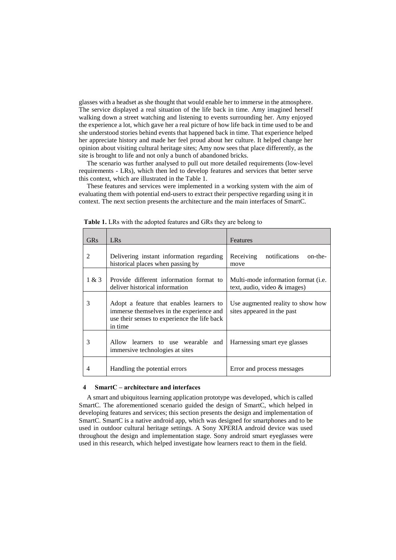glasses with a headset as she thought that would enable her to immerse in the atmosphere. The service displayed a real situation of the life back in time. Amy imagined herself walking down a street watching and listening to events surrounding her. Amy enjoyed the experience a lot, which gave her a real picture of how life back in time used to be and she understood stories behind events that happened back in time. That experience helped her appreciate history and made her feel proud about her culture. It helped change her opinion about visiting cultural heritage sites; Amy now sees that place differently, as the site is brought to life and not only a bunch of abandoned bricks.

The scenario was further analysed to pull out more detailed requirements (low-level requirements - LRs), which then led to develop features and services that better serve this context, which are illustrated in the Table 1.

These features and services were implemented in a working system with the aim of evaluating them with potential end-users to extract their perspective regarding using it in context. The next section presents the architecture and the main interfaces of SmartC.

| <b>GRs</b> | <b>LRs</b>                                                                                                                                      | Features                                                                     |  |  |
|------------|-------------------------------------------------------------------------------------------------------------------------------------------------|------------------------------------------------------------------------------|--|--|
| 2          | Delivering instant information regarding<br>historical places when passing by                                                                   | Receiving<br>notifications<br>on-the-<br>move                                |  |  |
| 1 & 3      | Provide different information format to<br>deliver historical information                                                                       | Multi-mode information format <i>(i.e.</i><br>text, audio, video $&$ images) |  |  |
| 3          | Adopt a feature that enables learners to<br>immerse themselves in the experience and<br>use their senses to experience the life back<br>in time | Use augmented reality to show how<br>sites appeared in the past              |  |  |
| 3          | Allow learners to use wearable and<br>immersive technologies at sites                                                                           | Harnessing smart eye glasses                                                 |  |  |
| 4          | Handling the potential errors                                                                                                                   | Error and process messages                                                   |  |  |

**Table 1.** LRs with the adopted features and GRs they are belong to

### **4 SmartC – architecture and interfaces**

A smart and ubiquitous learning application prototype was developed, which is called SmartC. The aforementioned scenario guided the design of SmartC, which helped in developing features and services; this section presents the design and implementation of SmartC. SmartC is a native android app, which was designed for smartphones and to be used in outdoor cultural heritage settings. A Sony XPERIA android device was used throughout the design and implementation stage. Sony android smart eyeglasses were used in this research, which helped investigate how learners react to them in the field.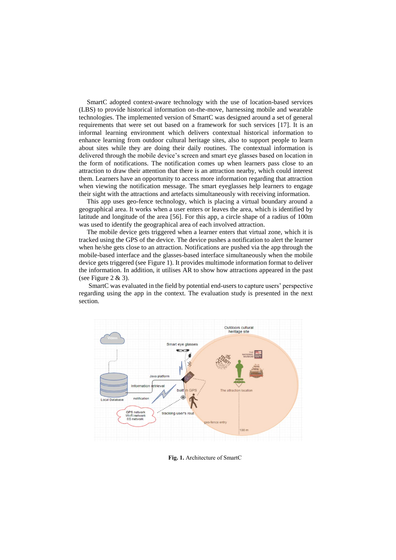SmartC adopted context-aware technology with the use of location-based services (LBS) to provide historical information on-the-move, harnessing mobile and wearable technologies. The implemented version of SmartC was designed around a set of general requirements that were set out based on a framework for such services [\[17\]](#page-18-7). It is an informal learning environment which delivers contextual historical information to enhance learning from outdoor cultural heritage sites, also to support people to learn about sites while they are doing their daily routines. The contextual information is delivered through the mobile device's screen and smart eye glasses based on location in the form of notifications. The notification comes up when learners pass close to an attraction to draw their attention that there is an attraction nearby, which could interest them. Learners have an opportunity to access more information regarding that attraction when viewing the notification message. The smart eyeglasses help learners to engage their sight with the attractions and artefacts simultaneously with receiving information.

This app uses geo-fence technology, which is placing a virtual boundary around a geographical area. It works when a user enters or leaves the area, which is identified by latitude and longitude of the area [\[56\]](#page-20-7). For this app, a circle shape of a radius of 100m was used to identify the geographical area of each involved attraction.

The mobile device gets triggered when a learner enters that virtual zone, which it is tracked using the GPS of the device. The device pushes a notification to alert the learner when he/she gets close to an attraction. Notifications are pushed via the app through the mobile-based interface and the glasses-based interface simultaneously when the mobile device gets triggered (see Figure 1). It provides multimode information format to deliver the information. In addition, it utilises AR to show how attractions appeared in the past (see Figure  $2 \& 3$ ).

SmartC was evaluated in the field by potential end-users to capture users' perspective regarding using the app in the context. The evaluation study is presented in the next section.



**Fig. 1.** Architecture of SmartC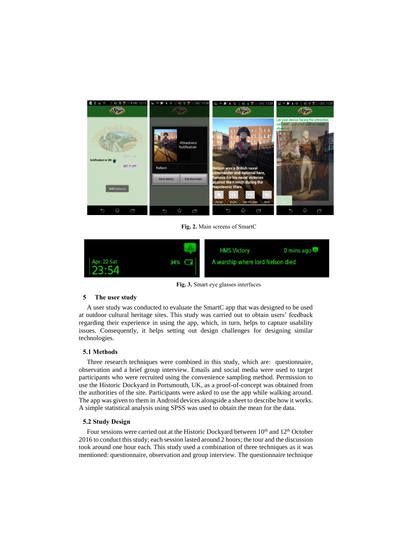

**Fig. 2.** Main screens of SmartC



**Fig. 3.** Smart eye glasses interfaces

### **5 The user study**

A user study was conducted to evaluate the SmartC app that was designed to be used at outdoor cultural heritage sites. This study was carried out to obtain users' feedback regarding their experience in using the app, which, in turn, helps to capture usability issues. Consequently, it helps setting out design challenges for designing similar technologies.

## **5.1 Methods**

Three research techniques were combined in this study, which are: questionnaire, observation and a brief group interview. Emails and social media were used to target participants who were recruited using the convenience sampling method. Permission to use the Historic Dockyard in Portsmouth, UK, as a proof-of-concept was obtained from the authorities of the site. Participants were asked to use the app while walking around. The app was given to them in Android devices alongside a sheet to describe how it works. A simple statistical analysis using SPSS was used to obtain the mean for the data.

#### **5.2 Study Design**

Four sessions were carried out at the Historic Dockyard between 10<sup>th</sup> and 12<sup>th</sup> October 2016 to conduct this study; each session lasted around 2 hours; the tour and the discussion took around one hour each. This study used a combination of three techniques as it was mentioned: questionnaire, observation and group interview. The questionnaire technique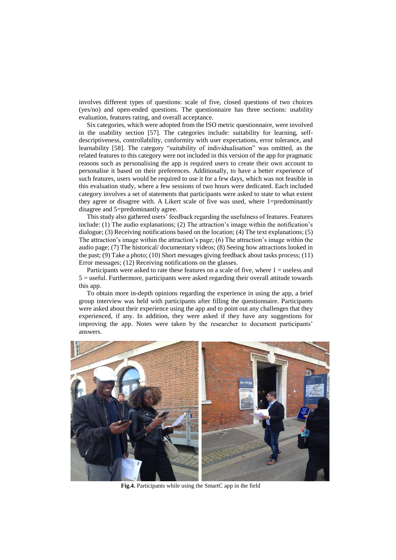involves different types of questions: scale of five, closed questions of two choices (yes/no) and open-ended questions. The questionnaire has three sections: usability evaluation, features rating, and overall acceptance.

Six categories, which were adopted from the ISO metric questionnaire, were involved in the usability section [\[57\]](#page-20-8). The categories include: suitability for learning, selfdescriptiveness, controllability, conformity with user expectations, error tolerance, and learnability [\[58\]](#page-20-9). The category "suitability of individualisation" was omitted, as the related features to this category were not included in this version of the app for pragmatic reasons such as personalising the app is required users to create their own account to personalise it based on their preferences. Additionally, to have a better experience of such features, users would be required to use it for a few days, which was not feasible in this evaluation study, where a few sessions of two hours were dedicated. Each included category involves a set of statements that participants were asked to state to what extent they agree or disagree with. A Likert scale of five was used, where 1=predominantly disagree and 5=predominantly agree.

This study also gathered users' feedback regarding the usefulness of features. Features include: (1) The audio explanations; (2) The attraction's image within the notification's dialogue; (3) Receiving notifications based on the location; (4) The text explanations; (5) The attraction's image within the attraction's page; (6) The attraction's image within the audio page; (7) The historical/ documentary videos; (8) Seeing how attractions looked in the past; (9) Take a photo; (10) Short messages giving feedback about tasks process; (11) Error messages; (12) Receiving notifications on the glasses.

Participants were asked to rate these features on a scale of five, where 1 = useless and 5 = useful. Furthermore, participants were asked regarding their overall attitude towards this app.

To obtain more in-depth opinions regarding the experience in using the app, a brief group interview was held with participants after filling the questionnaire. Participants were asked about their experience using the app and to point out any challenges that they experienced, if any. In addition, they were asked if they have any suggestions for improving the app. Notes were taken by the researcher to document participants' answers.



**Fig.4.** Participants while using the SmartC app in the field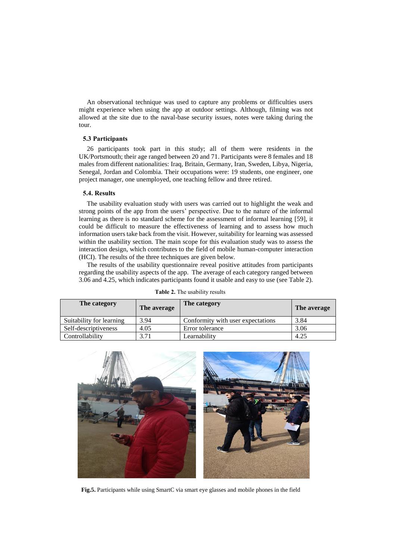An observational technique was used to capture any problems or difficulties users might experience when using the app at outdoor settings. Although, filming was not allowed at the site due to the naval-base security issues, notes were taking during the tour.

## **5.3 Participants**

26 participants took part in this study; all of them were residents in the UK/Portsmouth; their age ranged between 20 and 71. Participants were 8 females and 18 males from different nationalities: Iraq, Britain, Germany, Iran, Sweden, Libya, Nigeria, Senegal, Jordan and Colombia. Their occupations were: 19 students, one engineer, one project manager, one unemployed, one teaching fellow and three retired.

## **5.4. Results**

The usability evaluation study with users was carried out to highlight the weak and strong points of the app from the users' perspective. Due to the nature of the informal learning as there is no standard scheme for the assessment of informal learning [\[59\]](#page-21-0), it could be difficult to measure the effectiveness of learning and to assess how much information users take back from the visit. However, suitability for learning was assessed within the usability section. The main scope for this evaluation study was to assess the interaction design, which contributes to the field of mobile human-computer interaction (HCI). The results of the three techniques are given below.

The results of the usability questionnaire reveal positive attitudes from participants regarding the usability aspects of the app. The average of each category ranged between 3.06 and 4.25, which indicates participants found it usable and easy to use (see Table 2).

| The category             | The average | The category                      | The average |
|--------------------------|-------------|-----------------------------------|-------------|
| Suitability for learning | 3.94        | Conformity with user expectations | 3.84        |
| Self-descriptiveness     | 4.05        | Error tolerance                   | 3.06        |
| Controllability          | 3.71        | Learnability                      | 4.25        |

**Table 2.** The usability results



**Fig.5.** Participants while using SmartC via smart eye glasses and mobile phones in the field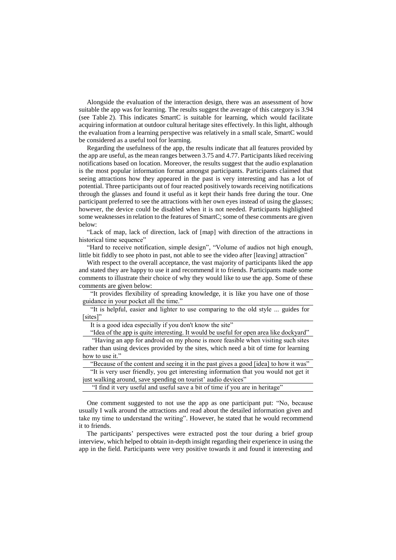Alongside the evaluation of the interaction design, there was an assessment of how suitable the app was for learning. The results suggest the average of this category is 3.94 (see Table 2). This indicates SmartC is suitable for learning, which would facilitate acquiring information at outdoor cultural heritage sites effectively. In this light, although the evaluation from a learning perspective was relatively in a small scale, SmartC would be considered as a useful tool for learning.

Regarding the usefulness of the app, the results indicate that all features provided by the app are useful, as the mean ranges between 3.75 and 4.77. Participants liked receiving notifications based on location. Moreover, the results suggest that the audio explanation is the most popular information format amongst participants. Participants claimed that seeing attractions how they appeared in the past is very interesting and has a lot of potential. Three participants out of four reacted positively towards receiving notifications through the glasses and found it useful as it kept their hands free during the tour. One participant preferred to see the attractions with her own eyes instead of using the glasses; however, the device could be disabled when it is not needed. Participants highlighted some weaknesses in relation to the features of SmartC; some of these comments are given below:

"Lack of map, lack of direction, lack of [map] with direction of the attractions in historical time sequence"

"Hard to receive notification, simple design", "Volume of audios not high enough, little bit fiddly to see photo in past, not able to see the video after [leaving] attraction"

With respect to the overall acceptance, the vast majority of participants liked the app and stated they are happy to use it and recommend it to friends. Participants made some comments to illustrate their choice of why they would like to use the app. Some of these comments are given below:

"It provides flexibility of spreading knowledge, it is like you have one of those guidance in your pocket all the time."

"It is helpful, easier and lighter to use comparing to the old style ... guides for [sites]"

It is a good idea especially if you don't know the site"

"Idea of the app is quite interesting. It would be useful for open area like dockyard"

"Having an app for android on my phone is more feasible when visiting such sites rather than using devices provided by the sites, which need a bit of time for learning how to use it."

"Because of the content and seeing it in the past gives a good [idea] to how it was" "It is very user friendly, you get interesting information that you would not get it

just walking around, save spending on tourist' audio devices"

"I find it very useful and useful save a bit of time if you are in heritage"

One comment suggested to not use the app as one participant put: "No, because usually I walk around the attractions and read about the detailed information given and take my time to understand the writing". However, he stated that he would recommend it to friends.

The participants' perspectives were extracted post the tour during a brief group interview, which helped to obtain in-depth insight regarding their experience in using the app in the field. Participants were very positive towards it and found it interesting and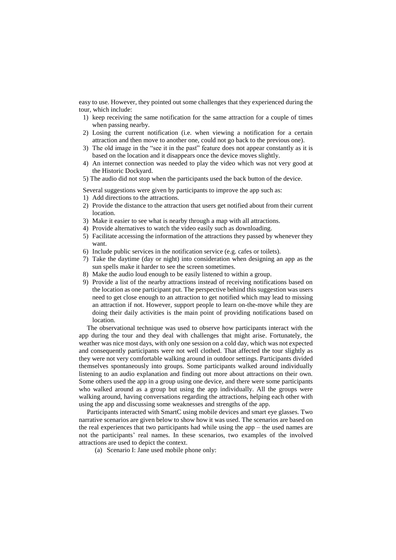easy to use. However, they pointed out some challenges that they experienced during the tour, which include:

- 1) keep receiving the same notification for the same attraction for a couple of times when passing nearby.
- 2) Losing the current notification (i.e. when viewing a notification for a certain attraction and then move to another one, could not go back to the previous one).
- 3) The old image in the "see it in the past" feature does not appear constantly as it is based on the location and it disappears once the device moves slightly.
- 4) An internet connection was needed to play the video which was not very good at the Historic Dockyard.
- 5) The audio did not stop when the participants used the back button of the device.

Several suggestions were given by participants to improve the app such as:

- 1) Add directions to the attractions.
- 2) Provide the distance to the attraction that users get notified about from their current location.
- 3) Make it easier to see what is nearby through a map with all attractions.
- 4) Provide alternatives to watch the video easily such as downloading.
- 5) Facilitate accessing the information of the attractions they passed by whenever they want.
- 6) Include public services in the notification service (e.g. cafes or toilets).
- 7) Take the daytime (day or night) into consideration when designing an app as the sun spells make it harder to see the screen sometimes.
- 8) Make the audio loud enough to be easily listened to within a group.
- 9) Provide a list of the nearby attractions instead of receiving notifications based on the location as one participant put. The perspective behind this suggestion was users need to get close enough to an attraction to get notified which may lead to missing an attraction if not. However, support people to learn on-the-move while they are doing their daily activities is the main point of providing notifications based on location.

The observational technique was used to observe how participants interact with the app during the tour and they deal with challenges that might arise. Fortunately, the weather was nice most days, with only one session on a cold day, which was not expected and consequently participants were not well clothed. That affected the tour slightly as they were not very comfortable walking around in outdoor settings. Participants divided themselves spontaneously into groups. Some participants walked around individually listening to an audio explanation and finding out more about attractions on their own. Some others used the app in a group using one device, and there were some participants who walked around as a group but using the app individually. All the groups were walking around, having conversations regarding the attractions, helping each other with using the app and discussing some weaknesses and strengths of the app.

Participants interacted with SmartC using mobile devices and smart eye glasses. Two narrative scenarios are given below to show how it was used. The scenarios are based on the real experiences that two participants had while using the app – the used names are not the participants' real names. In these scenarios, two examples of the involved attractions are used to depict the context.

(a) Scenario I: Jane used mobile phone only: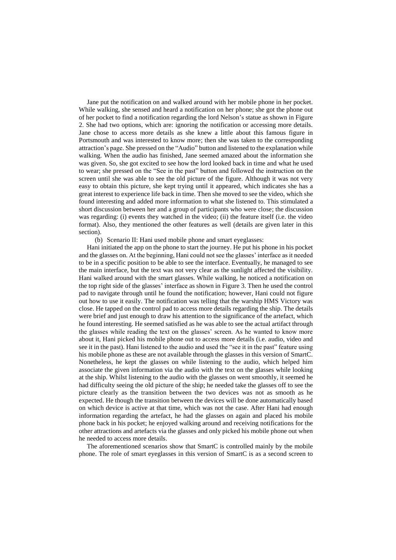Jane put the notification on and walked around with her mobile phone in her pocket. While walking, she sensed and heard a notification on her phone; she got the phone out of her pocket to find a notification regarding the lord Nelson's statue as shown in Figure 2. She had two options, which are: ignoring the notification or accessing more details. Jane chose to access more details as she knew a little about this famous figure in Portsmouth and was interested to know more; then she was taken to the corresponding attraction's page. She pressed on the "Audio" button and listened to the explanation while walking. When the audio has finished, Jane seemed amazed about the information she was given. So, she got excited to see how the lord looked back in time and what he used to wear; she pressed on the "See in the past" button and followed the instruction on the screen until she was able to see the old picture of the figure. Although it was not very easy to obtain this picture, she kept trying until it appeared, which indicates she has a great interest to experience life back in time. Then she moved to see the video, which she found interesting and added more information to what she listened to. This stimulated a short discussion between her and a group of participants who were close; the discussion was regarding: (i) events they watched in the video; (ii) the feature itself (i.e. the video format). Also, they mentioned the other features as well (details are given later in this section).

(b) Scenario II: Hani used mobile phone and smart eyeglasses:

Hani initiated the app on the phone to start the journey. He put his phone in his pocket and the glasses on. At the beginning, Hani could not see the glasses' interface as it needed to be in a specific position to be able to see the interface. Eventually, he managed to see the main interface, but the text was not very clear as the sunlight affected the visibility. Hani walked around with the smart glasses. While walking, he noticed a notification on the top right side of the glasses' interface as shown in Figure 3. Then he used the control pad to navigate through until he found the notification; however, Hani could not figure out how to use it easily. The notification was telling that the warship HMS Victory was close. He tapped on the control pad to access more details regarding the ship. The details were brief and just enough to draw his attention to the significance of the artefact, which he found interesting. He seemed satisfied as he was able to see the actual artifact through the glasses while reading the text on the glasses' screen. As he wanted to know more about it, Hani picked his mobile phone out to access more details (i.e. audio, video and see it in the past). Hani listened to the audio and used the "see it in the past" feature using his mobile phone as these are not available through the glasses in this version of SmartC. Nonetheless, he kept the glasses on while listening to the audio, which helped him associate the given information via the audio with the text on the glasses while looking at the ship. Whilst listening to the audio with the glasses on went smoothly, it seemed he had difficulty seeing the old picture of the ship; he needed take the glasses off to see the picture clearly as the transition between the two devices was not as smooth as he expected. He though the transition between the devices will be done automatically based on which device is active at that time, which was not the case. After Hani had enough information regarding the artefact, he had the glasses on again and placed his mobile phone back in his pocket; he enjoyed walking around and receiving notifications for the other attractions and artefacts via the glasses and only picked his mobile phone out when he needed to access more details.

The aforementioned scenarios show that SmartC is controlled mainly by the mobile phone. The role of smart eyeglasses in this version of SmartC is as a second screen to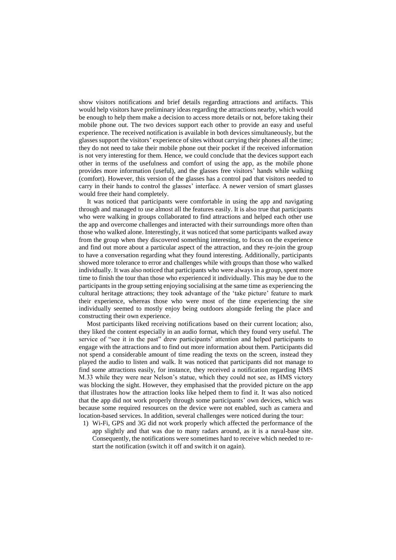show visitors notifications and brief details regarding attractions and artifacts. This would help visitors have preliminary ideas regarding the attractions nearby, which would be enough to help them make a decision to access more details or not, before taking their mobile phone out. The two devices support each other to provide an easy and useful experience. The received notification is available in both devices simultaneously, but the glasses support the visitors' experience of sites without carrying their phones all the time; they do not need to take their mobile phone out their pocket if the received information is not very interesting for them. Hence, we could conclude that the devices support each other in terms of the usefulness and comfort of using the app, as the mobile phone provides more information (useful), and the glasses free visitors' hands while walking (comfort). However, this version of the glasses has a control pad that visitors needed to carry in their hands to control the glasses' interface. A newer version of smart glasses would free their hand completely.

It was noticed that participants were comfortable in using the app and navigating through and managed to use almost all the features easily. It is also true that participants who were walking in groups collaborated to find attractions and helped each other use the app and overcome challenges and interacted with their surroundings more often than those who walked alone. Interestingly, it was noticed that some participants walked away from the group when they discovered something interesting, to focus on the experience and find out more about a particular aspect of the attraction, and they re-join the group to have a conversation regarding what they found interesting. Additionally, participants showed more tolerance to error and challenges while with groups than those who walked individually. It was also noticed that participants who were always in a group, spent more time to finish the tour than those who experienced it individually. This may be due to the participants in the group setting enjoying socialising at the same time as experiencing the cultural heritage attractions; they took advantage of the 'take picture' feature to mark their experience, whereas those who were most of the time experiencing the site individually seemed to mostly enjoy being outdoors alongside feeling the place and constructing their own experience.

Most participants liked receiving notifications based on their current location; also, they liked the content especially in an audio format, which they found very useful. The service of "see it in the past" drew participants' attention and helped participants to engage with the attractions and to find out more information about them. Participants did not spend a considerable amount of time reading the texts on the screen, instead they played the audio to listen and walk. It was noticed that participants did not manage to find some attractions easily, for instance, they received a notification regarding HMS M.33 while they were near Nelson's statue, which they could not see, as HMS victory was blocking the sight. However, they emphasised that the provided picture on the app that illustrates how the attraction looks like helped them to find it. It was also noticed that the app did not work properly through some participants' own devices, which was because some required resources on the device were not enabled, such as camera and location-based services. In addition, several challenges were noticed during the tour:

1) Wi-Fi, GPS and 3G did not work properly which affected the performance of the app slightly and that was due to many radars around, as it is a naval-base site. Consequently, the notifications were sometimes hard to receive which needed to restart the notification (switch it off and switch it on again).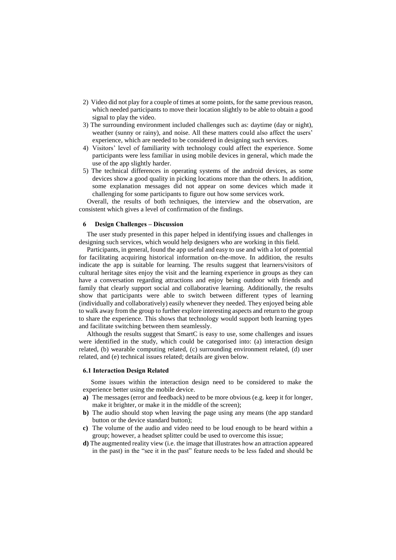- 2) Video did not play for a couple of times at some points, for the same previous reason, which needed participants to move their location slightly to be able to obtain a good signal to play the video.
- 3) The surrounding environment included challenges such as: daytime (day or night), weather (sunny or rainy), and noise. All these matters could also affect the users' experience, which are needed to be considered in designing such services.
- 4) Visitors' level of familiarity with technology could affect the experience. Some participants were less familiar in using mobile devices in general, which made the use of the app slightly harder.
- 5) The technical differences in operating systems of the android devices, as some devices show a good quality in picking locations more than the others. In addition, some explanation messages did not appear on some devices which made it challenging for some participants to figure out how some services work.

Overall, the results of both techniques, the interview and the observation, are consistent which gives a level of confirmation of the findings.

## **6 Design Challenges – Discussion**

The user study presented in this paper helped in identifying issues and challenges in designing such services, which would help designers who are working in this field.

Participants, in general, found the app useful and easy to use and with a lot of potential for facilitating acquiring historical information on-the-move. In addition, the results indicate the app is suitable for learning. The results suggest that learners/visitors of cultural heritage sites enjoy the visit and the learning experience in groups as they can have a conversation regarding attractions and enjoy being outdoor with friends and family that clearly support social and collaborative learning. Additionally, the results show that participants were able to switch between different types of learning (individually and collaboratively) easily whenever they needed. They enjoyed being able to walk away from the group to further explore interesting aspects and return to the group to share the experience. This shows that technology would support both learning types and facilitate switching between them seamlessly.

Although the results suggest that SmartC is easy to use, some challenges and issues were identified in the study, which could be categorised into: (a) interaction design related, (b) wearable computing related, (c) surrounding environment related, (d) user related, and (e) technical issues related; details are given below.

### **6.1 Interaction Design Related**

Some issues within the interaction design need to be considered to make the experience better using the mobile device.

- **a)** The messages (error and feedback) need to be more obvious (e.g. keep it for longer, make it brighter, or make it in the middle of the screen);
- **b)** The audio should stop when leaving the page using any means (the app standard button or the device standard button);
- **c)** The volume of the audio and video need to be loud enough to be heard within a group; however, a headset splitter could be used to overcome this issue;
- **d)** The augmented reality view (i.e. the image that illustrates how an attraction appeared in the past) in the "see it in the past" feature needs to be less faded and should be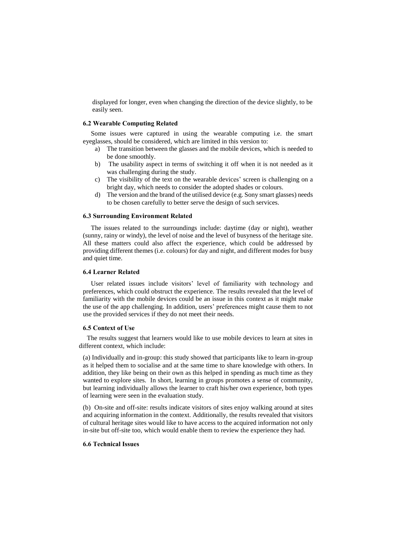displayed for longer, even when changing the direction of the device slightly, to be easily seen.

## **6.2 Wearable Computing Related**

Some issues were captured in using the wearable computing i.e. the smart eyeglasses, should be considered, which are limited in this version to:

- a) The transition between the glasses and the mobile devices, which is needed to be done smoothly.
- b) The usability aspect in terms of switching it off when it is not needed as it was challenging during the study.
- c) The visibility of the text on the wearable devices' screen is challenging on a bright day, which needs to consider the adopted shades or colours.
- d) The version and the brand of the utilised device (e.g. Sony smart glasses) needs to be chosen carefully to better serve the design of such services.

#### **6.3 Surrounding Environment Related**

The issues related to the surroundings include: daytime (day or night), weather (sunny, rainy or windy), the level of noise and the level of busyness of the heritage site. All these matters could also affect the experience, which could be addressed by providing different themes (i.e. colours) for day and night, and different modes for busy and quiet time.

#### **6.4 Learner Related**

User related issues include visitors' level of familiarity with technology and preferences, which could obstruct the experience. The results revealed that the level of familiarity with the mobile devices could be an issue in this context as it might make the use of the app challenging. In addition, users' preferences might cause them to not use the provided services if they do not meet their needs.

#### **6.5 Context of Use**

The results suggest that learners would like to use mobile devices to learn at sites in different context, which include:

(a) Individually and in-group: this study showed that participants like to learn in-group as it helped them to socialise and at the same time to share knowledge with others. In addition, they like being on their own as this helped in spending as much time as they wanted to explore sites. In short, learning in groups promotes a sense of community, but learning individually allows the learner to craft his/her own experience, both types of learning were seen in the evaluation study.

(b) On-site and off-site: results indicate visitors of sites enjoy walking around at sites and acquiring information in the context. Additionally, the results revealed that visitors of cultural heritage sites would like to have access to the acquired information not only in-site but off-site too, which would enable them to review the experience they had.

## **6.6 Technical Issues**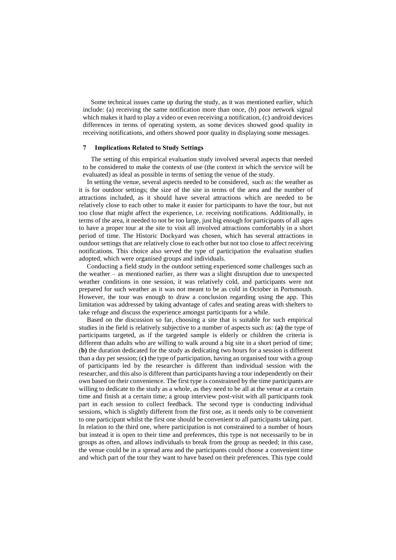Some technical issues came up during the study, as it was mentioned earlier, which include: (a) receiving the same notification more than once, (b) poor network signal which makes it hard to play a video or even receiving a notification, (c) android devices differences in terms of operating system, as some devices showed good quality in receiving notifications, and others showed poor quality in displaying some messages.

#### **7 Implications Related to Study Settings**

The setting of this empirical evaluation study involved several aspects that needed to be considered to make the contexts of use (the context in which the service will be evaluated) as ideal as possible in terms of setting the venue of the study.

In setting the venue, several aspects needed to be considered, such as: the weather as it is for outdoor settings; the size of the site in terms of the area and the number of attractions included, as it should have several attractions which are needed to be relatively close to each other to make it easier for participants to have the tour, but not too close that might affect the experience, i.e. receiving notifications. Additionally, in terms of the area, it needed to not be too large, just big enough for participants of all ages to have a proper tour at the site to visit all involved attractions comfortably in a short period of time. The Historic Dockyard was chosen, which has several attractions in outdoor settings that are relatively close to each other but not too close to affect receiving notifications. This choice also served the type of participation the evaluation studies adopted, which were organised groups and individuals.

Conducting a field study in the outdoor setting experienced some challenges such as the weather – as mentioned earlier, as there was a slight disruption due to unexpected weather conditions in one session, it was relatively cold, and participants were not prepared for such weather as it was not meant to be as cold in October in Portsmouth. However, the tour was enough to draw a conclusion regarding using the app. This limitation was addressed by taking advantage of cafes and seating areas with shelters to take refuge and discuss the experience amongst participants for a while.

Based on the discussion so far, choosing a site that is suitable for such empirical studies in the field is relatively subjective to a number of aspects such as: (**a)** the type of participants targeted, as if the targeted sample is elderly or children the criteria is different than adults who are willing to walk around a big site in a short period of time; (**b)** the duration dedicated for the study as dedicating two hours for a session is different than a day per session; (**c)** the type of participation, having an organised tour with a group of participants led by the researcher is different than individual session with the researcher, and this also is different than participants having a tour independently on their own based on their convenience. The first type is constrained by the time participants are willing to dedicate to the study as a whole, as they need to be all at the venue at a certain time and finish at a certain time; a group interview post-visit with all participants took part in each session to collect feedback. The second type is conducting individual sessions, which is slightly different from the first one, as it needs only to be convenient to one participant whilst the first one should be convenient to all participants taking part. In relation to the third one, where participation is not constrained to a number of hours but instead it is open to their time and preferences, this type is not necessarily to be in groups as often, and allows individuals to break from the group as needed; in this case, the venue could be in a spread area and the participants could choose a convenient time and which part of the tour they want to have based on their preferences. This type could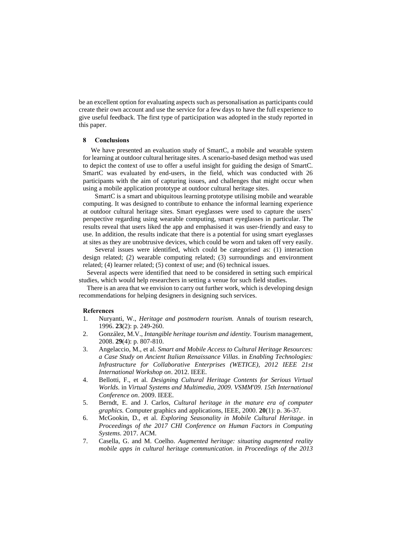be an excellent option for evaluating aspects such as personalisation as participants could create their own account and use the service for a few days to have the full experience to give useful feedback. The first type of participation was adopted in the study reported in this paper.

## **8 Conclusions**

We have presented an evaluation study of SmartC, a mobile and wearable system for learning at outdoor cultural heritage sites. A scenario-based design method was used to depict the context of use to offer a useful insight for guiding the design of SmartC. SmartC was evaluated by end-users, in the field, which was conducted with 26 participants with the aim of capturing issues, and challenges that might occur when using a mobile application prototype at outdoor cultural heritage sites.

SmartC is a smart and ubiquitous learning prototype utilising mobile and wearable computing. It was designed to contribute to enhance the informal learning experience at outdoor cultural heritage sites. Smart eyeglasses were used to capture the users' perspective regarding using wearable computing, smart eyeglasses in particular. The results reveal that users liked the app and emphasised it was user-friendly and easy to use. In addition, the results indicate that there is a potential for using smart eyeglasses at sites as they are unobtrusive devices, which could be worn and taken off very easily.

Several issues were identified, which could be categorised as: (1) interaction design related; (2) wearable computing related; (3) surroundings and environment related; (4) learner related; (5) context of use; and (6) technical issues.

Several aspects were identified that need to be considered in setting such empirical studies, which would help researchers in setting a venue for such field studies.

There is an area that we envision to carry out further work, which is developing design recommendations for helping designers in designing such services.

#### **References**

- <span id="page-17-0"></span>1. Nuryanti, W., *Heritage and postmodern tourism.* Annals of tourism research, 1996. **23**(2): p. 249-260.
- <span id="page-17-1"></span>2. González, M.V., *Intangible heritage tourism and identity.* Tourism management, 2008. **29**(4): p. 807-810.
- <span id="page-17-2"></span>3. Angelaccio, M., et al. *Smart and Mobile Access to Cultural Heritage Resources: a Case Study on Ancient Italian Renaissance Villas*. in *Enabling Technologies: Infrastructure for Collaborative Enterprises (WETICE), 2012 IEEE 21st International Workshop on*. 2012. IEEE.
- 4. Bellotti, F., et al. *Designing Cultural Heritage Contents for Serious Virtual Worlds*. in *Virtual Systems and Multimedia, 2009. VSMM'09. 15th International Conference on*. 2009. IEEE.
- 5. Berndt, E. and J. Carlos, *Cultural heritage in the mature era of computer graphics.* Computer graphics and applications, IEEE, 2000. **20**(1): p. 36-37.
- <span id="page-17-4"></span>6. McGookin, D., et al. *Exploring Seasonality in Mobile Cultural Heritage*. in *Proceedings of the 2017 CHI Conference on Human Factors in Computing Systems*. 2017. ACM.
- <span id="page-17-3"></span>7. Casella, G. and M. Coelho. *Augmented heritage: situating augmented reality mobile apps in cultural heritage communication*. in *Proceedings of the 2013*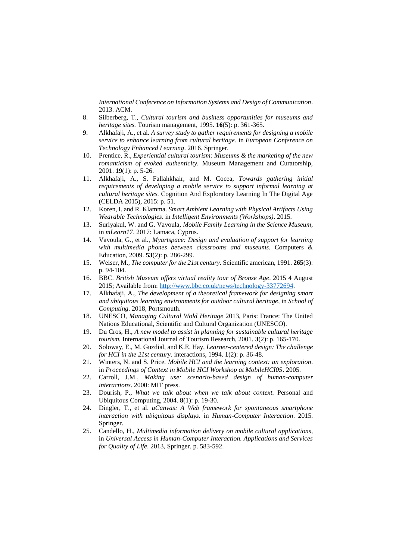*International Conference on Information Systems and Design of Communication*. 2013. ACM.

- <span id="page-18-0"></span>8. Silberberg, T., *Cultural tourism and business opportunities for museums and heritage sites.* Tourism management, 1995. **16**(5): p. 361-365.
- <span id="page-18-1"></span>9. Alkhafaji, A., et al. *A survey study to gather requirements for designing a mobile service to enhance learning from cultural heritage*. in *European Conference on Technology Enhanced Learning*. 2016. Springer.
- <span id="page-18-2"></span>10. Prentice, R., *Experiential cultural tourism: Museums & the marketing of the new romanticism of evoked authenticity.* Museum Management and Curatorship, 2001. **19**(1): p. 5-26.
- <span id="page-18-3"></span>11. Alkhafaji, A., S. Fallahkhair, and M. Cocea, *Towards gathering initial requirements of developing a mobile service to support informal learning at cultural heritage sites.* Cognition And Exploratory Learning In The Digital Age (CELDA 2015), 2015: p. 51.
- <span id="page-18-4"></span>12. Koren, I. and R. Klamma. *Smart Ambient Learning with Physical Artifacts Using Wearable Technologies*. in *Intelligent Environments (Workshops)*. 2015.
- <span id="page-18-16"></span>13. Suriyakul, W. and G. Vavoula, *Mobile Family Learning in the Science Museum*, in *mLearn17*. 2017: Lamaca, Cyprus.
- <span id="page-18-17"></span>14. Vavoula, G., et al., *Myartspace: Design and evaluation of support for learning with multimedia phones between classrooms and museums.* Computers & Education, 2009. **53**(2): p. 286-299.
- <span id="page-18-5"></span>15. Weiser, M., *The computer for the 21st century.* Scientific american, 1991. **265**(3): p. 94-104.
- <span id="page-18-6"></span>16. BBC. *British Museum offers virtual reality tour of Bronze Age*. 2015 4 August 2015; Available from: [http://www.bbc.co.uk/news/technology-33772694.](http://www.bbc.co.uk/news/technology-33772694)
- <span id="page-18-7"></span>17. Alkhafaji, A., *The development of a theoretical framework for designing smart and ubiquitous learning environments for outdoor cultural heritage*, in *School of Computing*. 2018, Portsmouth.
- <span id="page-18-8"></span>18. UNESCO, *Managing Cultural Wold Heritage* 2013, Paris: France: The United Nations Educational, Scientific and Cultural Organization (UNESCO).
- <span id="page-18-9"></span>19. Du Cros, H., *A new model to assist in planning for sustainable cultural heritage tourism.* International Journal of Tourism Research, 2001. **3**(2): p. 165-170.
- <span id="page-18-10"></span>20. Soloway, E., M. Guzdial, and K.E. Hay, *Learner-centered design: The challenge for HCI in the 21st century.* interactions, 1994. **1**(2): p. 36-48.
- <span id="page-18-11"></span>21. Winters, N. and S. Price. *Mobile HCI and the learning context: an exploration*. in *Proceedings of Context in Mobile HCI Workshop at MobileHCI05*. 2005.
- <span id="page-18-12"></span>22. Carroll, J.M., *Making use: scenario-based design of human-computer interactions*. 2000: MIT press.
- <span id="page-18-13"></span>23. Dourish, P., *What we talk about when we talk about context.* Personal and Ubiquitous Computing, 2004. **8**(1): p. 19-30.
- <span id="page-18-14"></span>24. Dingler, T., et al. *uCanvas: A Web framework for spontaneous smartphone interaction with ubiquitous displays*. in *Human-Computer Interaction*. 2015. Springer.
- <span id="page-18-15"></span>25. Candello, H., *Multimedia information delivery on mobile cultural applications*, in *Universal Access in Human-Computer Interaction. Applications and Services for Quality of Life*. 2013, Springer. p. 583-592.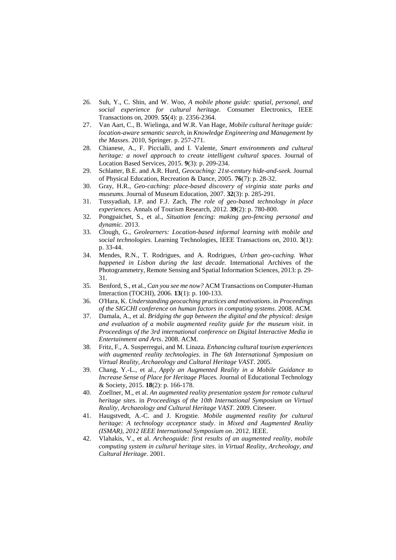- 26. Suh, Y., C. Shin, and W. Woo, *A mobile phone guide: spatial, personal, and social experience for cultural heritage.* Consumer Electronics, IEEE Transactions on, 2009. **55**(4): p. 2356-2364.
- 27. Van Aart, C., B. Wielinga, and W.R. Van Hage, *Mobile cultural heritage guide: location-aware semantic search*, in *Knowledge Engineering and Management by the Masses*. 2010, Springer. p. 257-271.
- 28. Chianese, A., F. Piccialli, and I. Valente, *Smart environments and cultural heritage: a novel approach to create intelligent cultural spaces.* Journal of Location Based Services, 2015. **9**(3): p. 209-234.
- <span id="page-19-0"></span>29. Schlatter, B.E. and A.R. Hurd, *Geocaching: 21st-century hide-and-seek.* Journal of Physical Education, Recreation & Dance, 2005. **76**(7): p. 28-32.
- <span id="page-19-1"></span>30. Gray, H.R., *Geo-caching: place-based discovery of virginia state parks and museums.* Journal of Museum Education, 2007. **32**(3): p. 285-291.
- 31. Tussyadiah, I.P. and F.J. Zach, *The role of geo-based technology in place experiences.* Annals of Tourism Research, 2012. **39**(2): p. 780-800.
- 32. Pongpaichet, S., et al., *Situation fencing: making geo-fencing personal and dynamic.* 2013.
- 33. Clough, G., *Geolearners: Location-based informal learning with mobile and social technologies.* Learning Technologies, IEEE Transactions on, 2010. **3**(1): p. 33-44.
- 34. Mendes, R.N., T. Rodrigues, and A. Rodrigues, *Urban geo-caching. What happened in Lisbon during the last decade.* International Archives of the Photogrammetry, Remote Sensing and Spatial Information Sciences, 2013: p. 29- 31.
- 35. Benford, S., et al., *Can you see me now?* ACM Transactions on Computer-Human Interaction (TOCHI), 2006. **13**(1): p. 100-133.
- 36. O'Hara, K. *Understanding geocaching practices and motivations*. in *Proceedings of the SIGCHI conference on human factors in computing systems*. 2008. ACM.
- <span id="page-19-2"></span>37. Damala, A., et al. *Bridging the gap between the digital and the physical: design and evaluation of a mobile augmented reality guide for the museum visit*. in *Proceedings of the 3rd international conference on Digital Interactive Media in Entertainment and Arts*. 2008. ACM.
- 38. Fritz, F., A. Susperregui, and M. Linaza. *Enhancing cultural tourism experiences with augmented reality technologies*. in *The 6th International Symposium on Virtual Reality, Archaeology and Cultural Heritage VAST*. 2005.
- 39. Chang, Y.-L., et al., *Apply an Augmented Reality in a Mobile Guidance to Increase Sense of Place for Heritage Places.* Journal of Educational Technology & Society, 2015. **18**(2): p. 166-178.
- 40. Zoellner, M., et al. *An augmented reality presentation system for remote cultural heritage sites*. in *Proceedings of the 10th International Symposium on Virtual Reality, Archaeology and Cultural Heritage VAST*. 2009. Citeseer.
- 41. Haugstvedt, A.-C. and J. Krogstie. *Mobile augmented reality for cultural heritage: A technology acceptance study*. in *Mixed and Augmented Reality (ISMAR), 2012 IEEE International Symposium on*. 2012. IEEE.
- <span id="page-19-3"></span>42. Vlahakis, V., et al. *Archeoguide: first results of an augmented reality, mobile computing system in cultural heritage sites*. in *Virtual Reality, Archeology, and Cultural Heritage*. 2001.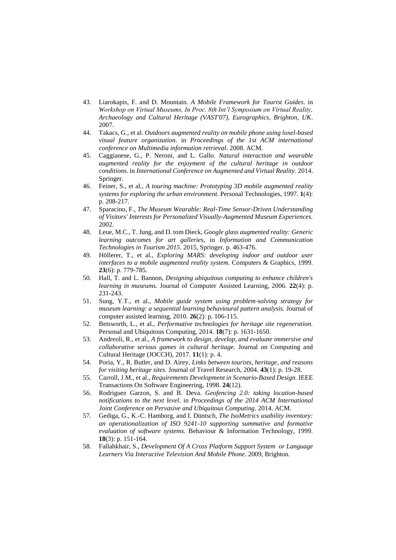- 43. Liarokapis, F. and D. Mountain. *A Mobile Framework for Tourist Guides*. in *Workshop on Virtual Museums, In Proc. 8th Int'l Symposium on Virtual Reality, Archaeology and Cultural Heritage (VAST'07), Eurographics, Brighton, UK*. 2007.
- 44. Takacs, G., et al. *Outdoors augmented reality on mobile phone using loxel-based visual feature organization*. in *Proceedings of the 1st ACM international conference on Multimedia information retrieval*. 2008. ACM.
- 45. Caggianese, G., P. Neroni, and L. Gallo. *Natural interaction and wearable augmented reality for the enjoyment of the cultural heritage in outdoor conditions*. in *International Conference on Augmented and Virtual Reality*. 2014. Springer.
- <span id="page-20-0"></span>46. Feiner, S., et al., *A touring machine: Prototyping 3D mobile augmented reality systems for exploring the urban environment.* Personal Technologies, 1997. **1**(4): p. 208-217.
- 47. Sparacino, F., *The Museum Wearable: Real-Time Sensor-Driven Understanding of Visitors' Interests for Personalized Visually-Augmented Museum Experiences.* 2002.
- 48. Leue, M.C., T. Jung, and D. tom Dieck, *Google glass augmented reality: Generic learning outcomes for art galleries*, in *Information and Communication Technologies in Tourism 2015*. 2015, Springer. p. 463-476.
- 49. Höllerer, T., et al., *Exploring MARS: developing indoor and outdoor user interfaces to a mobile augmented reality system.* Computers & Graphics, 1999. **23**(6): p. 779-785.
- <span id="page-20-1"></span>50. Hall, T. and L. Bannon, *Designing ubiquitous computing to enhance children's learning in museums.* Journal of Computer Assisted Learning, 2006. **22**(4): p. 231-243.
- <span id="page-20-2"></span>51. Sung, Y.T., et al., *Mobile guide system using problem*‐*solving strategy for museum learning: a sequential learning behavioural pattern analysis.* Journal of computer assisted learning, 2010. **26**(2): p. 106-115.
- <span id="page-20-3"></span>52. Betsworth, L., et al., *Performative technologies for heritage site regeneration.* Personal and Ubiquitous Computing, 2014. **18**(7): p. 1631-1650.
- <span id="page-20-4"></span>53. Andreoli, R., et al., *A framework to design, develop, and evaluate immersive and collaborative serious games in cultural heritage.* Journal on Computing and Cultural Heritage (JOCCH), 2017. **11**(1): p. 4.
- <span id="page-20-5"></span>54. Poria, Y., R. Butler, and D. Airey, *Links between tourists, heritage, and reasons for visiting heritage sites.* Journal of Travel Research, 2004. **43**(1): p. 19-28.
- <span id="page-20-6"></span>55. Carroll, J.M., et al., *Requirements Development in Scenario-Based Design.* IEEE Transactions On Software Engineering, 1998. **24**(12).
- <span id="page-20-7"></span>56. Rodriguez Garzon, S. and B. Deva. *Geofencing 2.0: taking location-based notifications to the next level*. in *Proceedings of the 2014 ACM International Joint Conference on Pervasive and Ubiquitous Computing*. 2014. ACM.
- <span id="page-20-8"></span>57. Gediga, G., K.-C. Hamborg, and I. Düntsch, *The IsoMetrics usability inventory: an operationalization of ISO 9241-10 supporting summative and formative evaluation of software systems.* Behaviour & Information Technology, 1999. **18**(3): p. 151-164.
- <span id="page-20-9"></span>58. Fallahkhair, S., *Development Of A Cross Platform Support System or Language Learners Via Interactive Television And Mobile Phone*. 2009, Brighton.